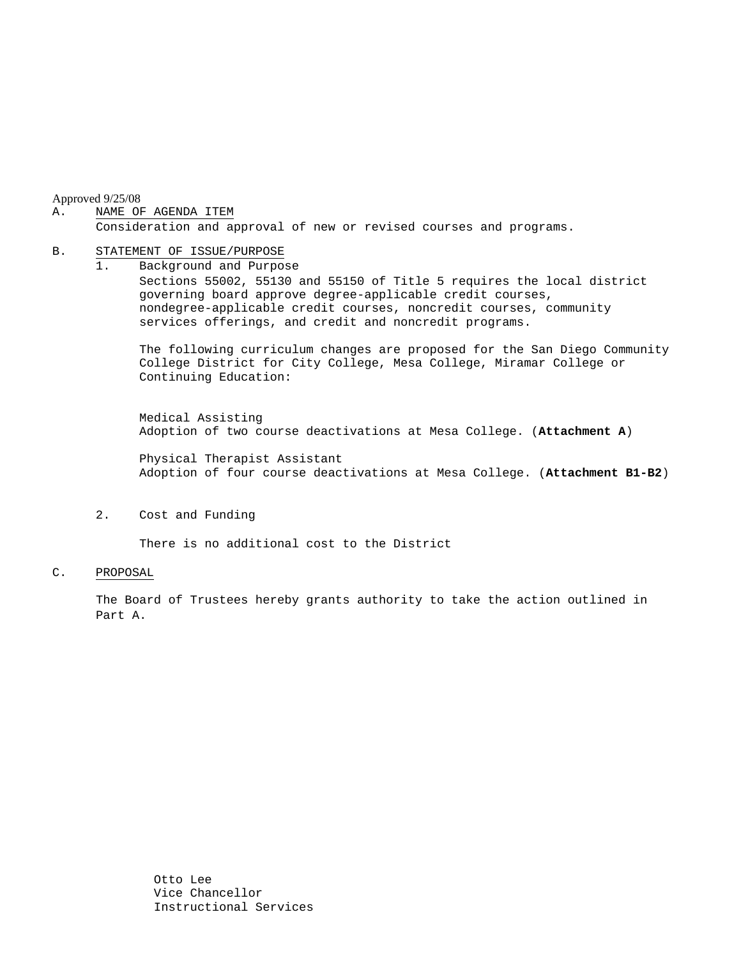Approved 9/25/08

#### A. NAME OF AGENDA ITEM

Consideration and approval of new or revised courses and programs.

#### B. STATEMENT OF ISSUE/PURPOSE

1. Background and Purpose Sections 55002, 55130 and 55150 of Title 5 requires the local district governing board approve degree-applicable credit courses, nondegree-applicable credit courses, noncredit courses, community services offerings, and credit and noncredit programs.

The following curriculum changes are proposed for the San Diego Community College District for City College, Mesa College, Miramar College or Continuing Education:

 Medical Assisting Adoption of two course deactivations at Mesa College. (**Attachment A**)

Physical Therapist Assistant Adoption of four course deactivations at Mesa College. (**Attachment B1-B2**)

2. Cost and Funding

There is no additional cost to the District

# C. PROPOSAL

The Board of Trustees hereby grants authority to take the action outlined in Part A.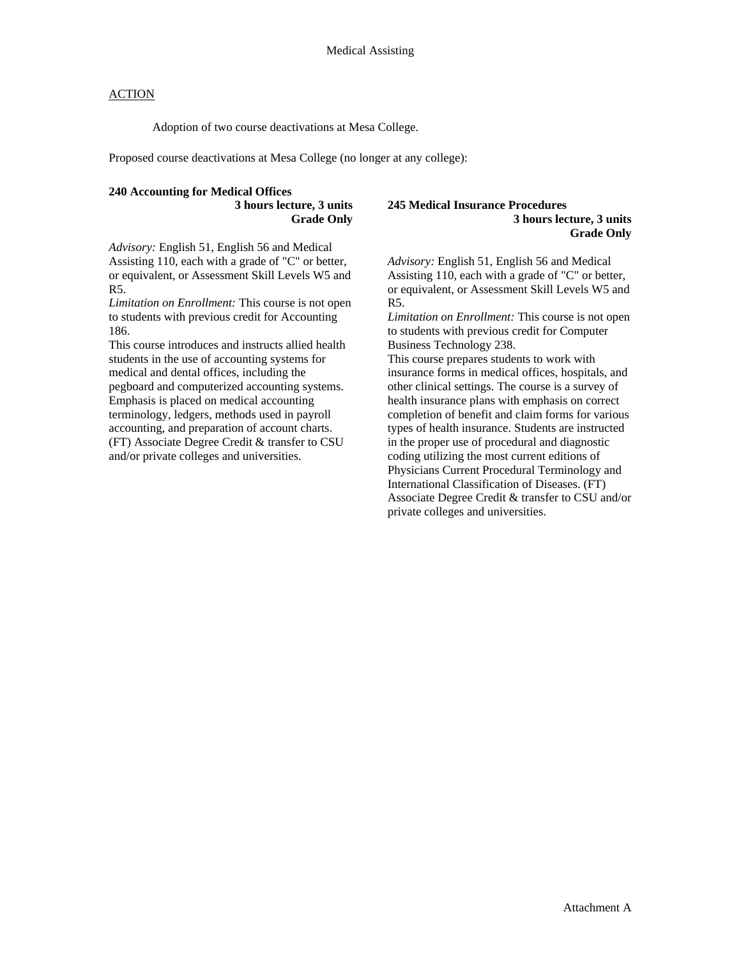# **ACTION**

Adoption of two course deactivations at Mesa College.

Proposed course deactivations at Mesa College (no longer at any college):

# **240 Accounting for Medical Offices**

**3 hours lecture, 3 units Grade Only** 

*Advisory:* English 51, English 56 and Medical Assisting 110, each with a grade of "C" or better, or equivalent, or Assessment Skill Levels W5 and R5.

*Limitation on Enrollment:* This course is not open to students with previous credit for Accounting 186.

This course introduces and instructs allied health students in the use of accounting systems for medical and dental offices, including the pegboard and computerized accounting systems. Emphasis is placed on medical accounting terminology, ledgers, methods used in payroll accounting, and preparation of account charts. (FT) Associate Degree Credit & transfer to CSU and/or private colleges and universities.

#### **245 Medical Insurance Procedures 3 hours lecture, 3 units Grade Only**

*Advisory:* English 51, English 56 and Medical Assisting 110, each with a grade of "C" or better, or equivalent, or Assessment Skill Levels W5 and R5.

*Limitation on Enrollment:* This course is not open to students with previous credit for Computer Business Technology 238.

This course prepares students to work with insurance forms in medical offices, hospitals, and other clinical settings. The course is a survey of health insurance plans with emphasis on correct completion of benefit and claim forms for various types of health insurance. Students are instructed in the proper use of procedural and diagnostic coding utilizing the most current editions of Physicians Current Procedural Terminology and International Classification of Diseases. (FT) Associate Degree Credit & transfer to CSU and/or private colleges and universities.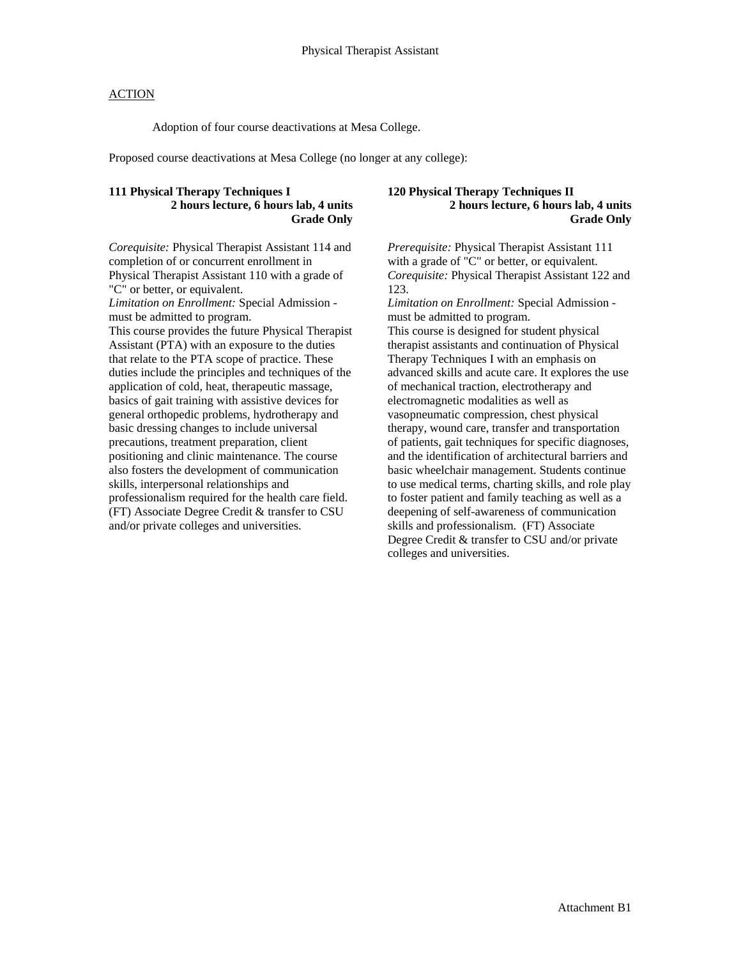# **ACTION**

Adoption of four course deactivations at Mesa College.

Proposed course deactivations at Mesa College (no longer at any college):

## **111 Physical Therapy Techniques I 2 hours lecture, 6 hours lab, 4 units Grade Only**

*Corequisite:* Physical Therapist Assistant 114 and completion of or concurrent enrollment in Physical Therapist Assistant 110 with a grade of "C" or better, or equivalent.

*Limitation on Enrollment:* Special Admission must be admitted to program.

This course provides the future Physical Therapist Assistant (PTA) with an exposure to the duties that relate to the PTA scope of practice. These duties include the principles and techniques of the application of cold, heat, therapeutic massage, basics of gait training with assistive devices for general orthopedic problems, hydrotherapy and basic dressing changes to include universal precautions, treatment preparation, client positioning and clinic maintenance. The course also fosters the development of communication skills, interpersonal relationships and professionalism required for the health care field. (FT) Associate Degree Credit & transfer to CSU and/or private colleges and universities.

## **120 Physical Therapy Techniques II 2 hours lecture, 6 hours lab, 4 units Grade Only**

*Prerequisite:* Physical Therapist Assistant 111 with a grade of "C" or better, or equivalent. *Corequisite:* Physical Therapist Assistant 122 and 123.

*Limitation on Enrollment:* Special Admission must be admitted to program. This course is designed for student physical therapist assistants and continuation of Physical Therapy Techniques I with an emphasis on advanced skills and acute care. It explores the use of mechanical traction, electrotherapy and electromagnetic modalities as well as vasopneumatic compression, chest physical therapy, wound care, transfer and transportation of patients, gait techniques for specific diagnoses, and the identification of architectural barriers and basic wheelchair management. Students continue to use medical terms, charting skills, and role play to foster patient and family teaching as well as a deepening of self-awareness of communication skills and professionalism. (FT) Associate Degree Credit & transfer to CSU and/or private colleges and universities.